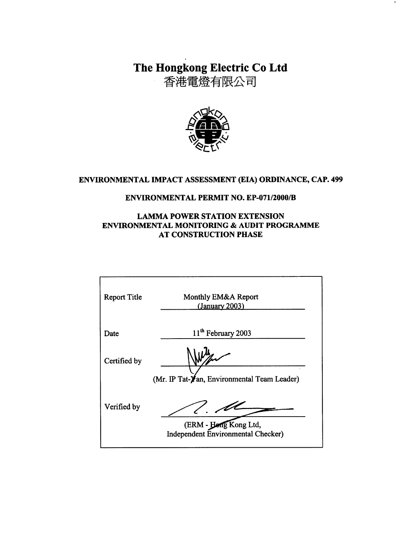# The Hongkong Electric Co Ltd

香港電燈有限公司



## ENVIRONMENTAL IMPACT ASSESSMENT (EIA) ORDINANCE, CAP. 499

#### **ENVIRONMENTAL PERMIT NO. EP-071/2000/B**

#### **LAMMA POWER STATION EXTENSION** ENVIRONMENTAL MONITORING & AUDIT PROGRAMME **AT CONSTRUCTION PHASE**

| <b>Report Title</b> | Monthly EM&A Report<br>(January 2003)                       |
|---------------------|-------------------------------------------------------------|
| Date                | 11 <sup>th</sup> February 2003                              |
| Certified by        |                                                             |
|                     | (Mr. IP Tat-Yan, Environmental Team Leader)                 |
| Verified by         |                                                             |
|                     | (ERM - Hong Kong Ltd,<br>Independent Environmental Checker) |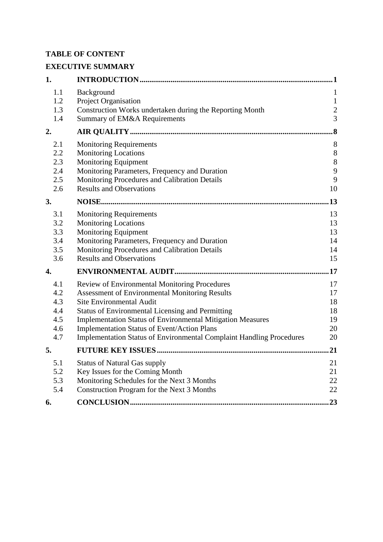## **TABLE OF CONTENT**

## **EXECUTIVE SUMMARY**

| 1.                                            |                                                                                                                                                                                                                                                                                                                                                                                                  |                                                         |
|-----------------------------------------------|--------------------------------------------------------------------------------------------------------------------------------------------------------------------------------------------------------------------------------------------------------------------------------------------------------------------------------------------------------------------------------------------------|---------------------------------------------------------|
| 1.1<br>1.2<br>1.3<br>1.4                      | Background<br>Project Organisation<br>Construction Works undertaken during the Reporting Month<br>Summary of EM&A Requirements                                                                                                                                                                                                                                                                   | 1<br>$\mathbf{1}$<br>$\boldsymbol{2}$<br>$\overline{3}$ |
| 2.                                            |                                                                                                                                                                                                                                                                                                                                                                                                  | $\boldsymbol{.8}$                                       |
| 2.1<br>2.2<br>2.3<br>2.4<br>2.5<br>2.6        | <b>Monitoring Requirements</b><br><b>Monitoring Locations</b><br><b>Monitoring Equipment</b><br>Monitoring Parameters, Frequency and Duration<br>Monitoring Procedures and Calibration Details<br><b>Results and Observations</b>                                                                                                                                                                | $8\phantom{1}$<br>$\, 8$<br>$8\,$<br>9<br>9<br>10       |
| 3.                                            |                                                                                                                                                                                                                                                                                                                                                                                                  | .13                                                     |
| 3.1<br>3.2<br>3.3<br>3.4<br>3.5<br>3.6        | <b>Monitoring Requirements</b><br><b>Monitoring Locations</b><br><b>Monitoring Equipment</b><br>Monitoring Parameters, Frequency and Duration<br>Monitoring Procedures and Calibration Details<br><b>Results and Observations</b>                                                                                                                                                                | 13<br>13<br>13<br>14<br>14<br>15                        |
| $\overline{4}$ .                              |                                                                                                                                                                                                                                                                                                                                                                                                  | .17                                                     |
| 4.1<br>4.2<br>4.3<br>4.4<br>4.5<br>4.6<br>4.7 | Review of Environmental Monitoring Procedures<br><b>Assessment of Environmental Monitoring Results</b><br><b>Site Environmental Audit</b><br><b>Status of Environmental Licensing and Permitting</b><br><b>Implementation Status of Environmental Mitigation Measures</b><br>Implementation Status of Event/Action Plans<br>Implementation Status of Environmental Complaint Handling Procedures | 17<br>17<br>18<br>18<br>19<br>20<br>20                  |
| 5.                                            |                                                                                                                                                                                                                                                                                                                                                                                                  | .21                                                     |
| 5.1<br>5.2<br>5.3<br>5.4                      | <b>Status of Natural Gas supply</b><br>Key Issues for the Coming Month<br>Monitoring Schedules for the Next 3 Months<br>Construction Program for the Next 3 Months                                                                                                                                                                                                                               | 21<br>21<br>22<br>22                                    |
| 6.                                            |                                                                                                                                                                                                                                                                                                                                                                                                  | 23                                                      |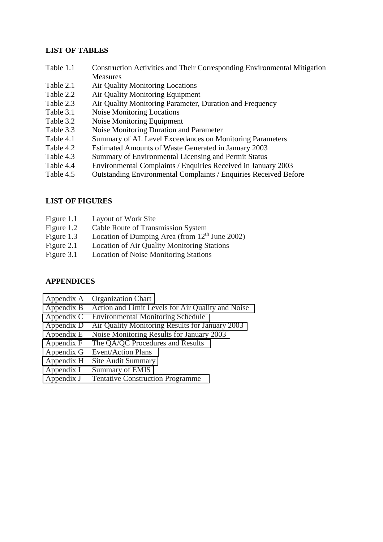#### **LIST OF TABLES**

- Table 1.1 Construction Activities and Their Corresponding Environmental Mitigation **Measures**
- Table 2.1 Air Quality Monitoring Locations
- Table 2.2 Air Quality Monitoring Equipment
- Table 2.3 Air Quality Monitoring Parameter, Duration and Frequency
- Table 3.1 Noise Monitoring Locations
- Table 3.2 Noise Monitoring Equipment
- Table 3.3 Noise Monitoring Duration and Parameter
- Table 4.1 Summary of AL Level Exceedances on Monitoring Parameters
- Table 4.2 Estimated Amounts of Waste Generated in January 2003
- Table 4.3 Summary of Environmental Licensing and Permit Status
- Table 4.4 Environmental Complaints / Enquiries Received in January 2003
- Table 4.5 Outstanding Environmental Complaints / Enquiries Received Before

#### **LIST OF FIGURES**

- Figure 1.1 Layout of Work Site
- Figure 1.2 Cable Route of Transmission System
- Figure 1.3 Location of Dumping Area (from  $12<sup>th</sup>$  June 2002)
- Figure 2.1 Location of Air Quality Monitoring Stations
- Figure 3.1 Location of Noise Monitoring Stations

#### **APPENDICES**

- Appendix A Organization Chart
- Appendix B Action and Limit Levels for Air Quality and Noise
- Appendix C Environmental Monitoring Schedule
- Appendix D Air Quality Monitoring Results for January 2003
- Appendix E Noise Monitoring Results for January 2003
- Appendix F The QA/QC Procedures and Results
- Appendix G Event/Action Plans
- Appendix H Site Audit Summary
- Appendix I Summary of EMIS
- Appendix J Tentative Construction Programme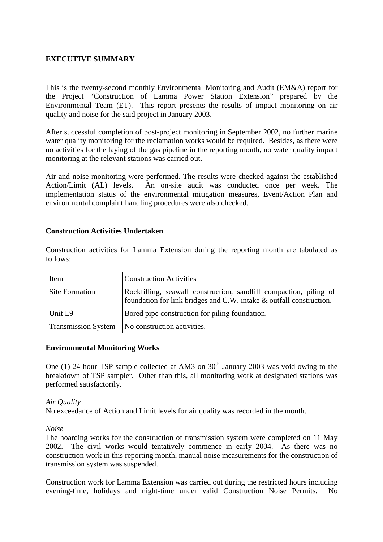### **EXECUTIVE SUMMARY**

This is the twenty-second monthly Environmental Monitoring and Audit (EM&A) report for the Project "Construction of Lamma Power Station Extension" prepared by the Environmental Team (ET). This report presents the results of impact monitoring on air quality and noise for the said project in January 2003.

After successful completion of post-project monitoring in September 2002, no further marine water quality monitoring for the reclamation works would be required. Besides, as there were no activities for the laying of the gas pipeline in the reporting month, no water quality impact monitoring at the relevant stations was carried out.

Air and noise monitoring were performed. The results were checked against the established Action/Limit (AL) levels. An on-site audit was conducted once per week. The implementation status of the environmental mitigation measures, Event/Action Plan and environmental complaint handling procedures were also checked.

#### **Construction Activities Undertaken**

Construction activities for Lamma Extension during the reporting month are tabulated as follows:

| Item                  | <b>Construction Activities</b>                                                                                                           |
|-----------------------|------------------------------------------------------------------------------------------------------------------------------------------|
| <b>Site Formation</b> | Rockfilling, seawall construction, sandfill compaction, piling of<br>foundation for link bridges and C.W. intake & outfall construction. |
| Unit L9               | Bored pipe construction for piling foundation.                                                                                           |
|                       | Transmission System   No construction activities.                                                                                        |

#### **Environmental Monitoring Works**

One (1) 24 hour TSP sample collected at AM3 on  $30<sup>th</sup>$  January 2003 was void owing to the breakdown of TSP sampler. Other than this, all monitoring work at designated stations was performed satisfactorily.

#### *Air Quality*

No exceedance of Action and Limit levels for air quality was recorded in the month.

*Noise* 

The hoarding works for the construction of transmission system were completed on 11 May 2002. The civil works would tentatively commence in early 2004. As there was no construction work in this reporting month, manual noise measurements for the construction of transmission system was suspended.

Construction work for Lamma Extension was carried out during the restricted hours including evening-time, holidays and night-time under valid Construction Noise Permits. No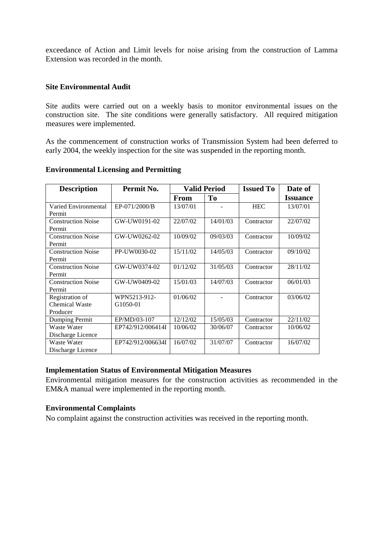exceedance of Action and Limit levels for noise arising from the construction of Lamma Extension was recorded in the month.

#### **Site Environmental Audit**

Site audits were carried out on a weekly basis to monitor environmental issues on the construction site. The site conditions were generally satisfactory. All required mitigation measures were implemented.

As the commencement of construction works of Transmission System had been deferred to early 2004, the weekly inspection for the site was suspended in the reporting month.

| <b>Description</b>             | Permit No.        | <b>Valid Period</b> |                | <b>Issued To</b> | Date of         |
|--------------------------------|-------------------|---------------------|----------------|------------------|-----------------|
|                                |                   | <b>From</b>         | T <sub>0</sub> |                  | <b>Issuance</b> |
| Varied Environmental<br>Permit | EP-071/2000/B     | 13/07/01            |                | <b>HEC</b>       | 13/07/01        |
| <b>Construction Noise</b>      | GW-UW0191-02      | 22/07/02            | 14/01/03       | Contractor       | 22/07/02        |
| Permit                         |                   |                     |                |                  |                 |
| <b>Construction Noise</b>      | GW-UW0262-02      | 10/09/02            | 09/03/03       | Contractor       | 10/09/02        |
| Permit                         |                   |                     |                |                  |                 |
| <b>Construction Noise</b>      | PP-UW0030-02      | 15/11/02            | 14/05/03       | Contractor       | 09/10/02        |
| Permit                         |                   |                     |                |                  |                 |
| <b>Construction Noise</b>      | GW-UW0374-02      | 01/12/02            | 31/05/03       | Contractor       | 28/11/02        |
| Permit                         |                   |                     |                |                  |                 |
| <b>Construction Noise</b>      | GW-UW0409-02      | 15/01/03            | 14/07/03       | Contractor       | 06/01/03        |
| Permit                         |                   |                     |                |                  |                 |
| Registration of                | WPN5213-912-      | 01/06/02            |                | Contractor       | 03/06/02        |
| <b>Chemical Waste</b>          | G1050-01          |                     |                |                  |                 |
| Producer                       |                   |                     |                |                  |                 |
| Dumping Permit                 | EP/MD/03-107      | 12/12/02            | 15/05/03       | Contractor       | 22/11/02        |
| Waste Water                    | EP742/912/006414I | 10/06/02            | 30/06/07       | Contractor       | 10/06/02        |
| Discharge Licence              |                   |                     |                |                  |                 |
| Waste Water                    | EP742/912/006634I | 16/07/02            | 31/07/07       | Contractor       | 16/07/02        |
| Discharge Licence              |                   |                     |                |                  |                 |

#### **Environmental Licensing and Permitting**

#### **Implementation Status of Environmental Mitigation Measures**

Environmental mitigation measures for the construction activities as recommended in the EM&A manual were implemented in the reporting month.

#### **Environmental Complaints**

No complaint against the construction activities was received in the reporting month.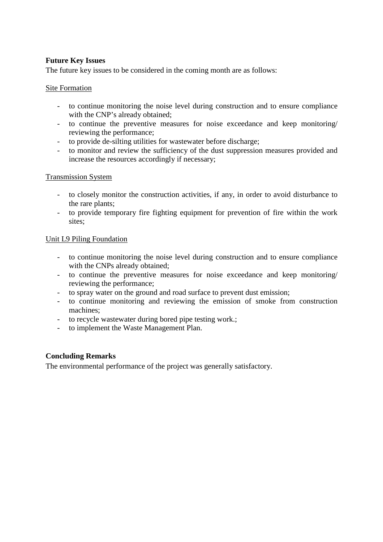## **Future Key Issues**

The future key issues to be considered in the coming month are as follows:

#### Site Formation

- to continue monitoring the noise level during construction and to ensure compliance with the CNP's already obtained;
- to continue the preventive measures for noise exceedance and keep monitoring/ reviewing the performance;
- to provide de-silting utilities for wastewater before discharge;
- to monitor and review the sufficiency of the dust suppression measures provided and increase the resources accordingly if necessary;

#### Transmission System

- to closely monitor the construction activities, if any, in order to avoid disturbance to the rare plants;
- to provide temporary fire fighting equipment for prevention of fire within the work sites;

#### Unit L9 Piling Foundation

- to continue monitoring the noise level during construction and to ensure compliance with the CNPs already obtained;
- to continue the preventive measures for noise exceedance and keep monitoring/ reviewing the performance;
- to spray water on the ground and road surface to prevent dust emission;
- to continue monitoring and reviewing the emission of smoke from construction machines;
- to recycle wastewater during bored pipe testing work.;
- to implement the Waste Management Plan.

#### **Concluding Remarks**

The environmental performance of the project was generally satisfactory.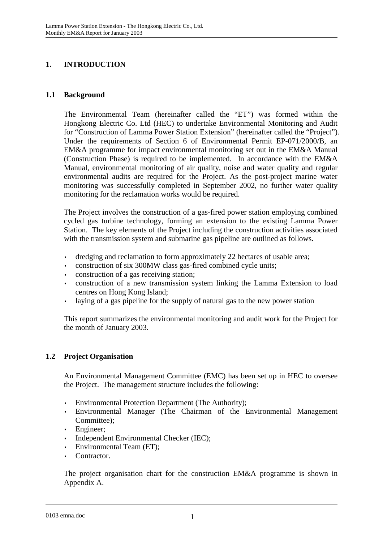## **1. INTRODUCTION**

### **1.1 Background**

The Environmental Team (hereinafter called the "ET") was formed within the Hongkong Electric Co. Ltd (HEC) to undertake Environmental Monitoring and Audit for "Construction of Lamma Power Station Extension" (hereinafter called the "Project"). Under the requirements of Section 6 of Environmental Permit EP-071/2000/B, an EM&A programme for impact environmental monitoring set out in the EM&A Manual (Construction Phase) is required to be implemented. In accordance with the EM&A Manual, environmental monitoring of air quality, noise and water quality and regular environmental audits are required for the Project. As the post-project marine water monitoring was successfully completed in September 2002, no further water quality monitoring for the reclamation works would be required.

The Project involves the construction of a gas-fired power station employing combined cycled gas turbine technology, forming an extension to the existing Lamma Power Station. The key elements of the Project including the construction activities associated with the transmission system and submarine gas pipeline are outlined as follows.

- dredging and reclamation to form approximately 22 hectares of usable area;
- construction of six 300MW class gas-fired combined cycle units;
- construction of a gas receiving station;
- construction of a new transmission system linking the Lamma Extension to load centres on Hong Kong Island;
- laying of a gas pipeline for the supply of natural gas to the new power station

This report summarizes the environmental monitoring and audit work for the Project for the month of January 2003.

## **1.2 Project Organisation**

An Environmental Management Committee (EMC) has been set up in HEC to oversee the Project. The management structure includes the following:

- Environmental Protection Department (The Authority);
- Environmental Manager (The Chairman of the Environmental Management Committee);
- Engineer:
- Independent Environmental Checker (IEC);
- Environmental Team (ET);
- Contractor.

The project organisation chart for the construction EM&A programme is shown in Appendix A.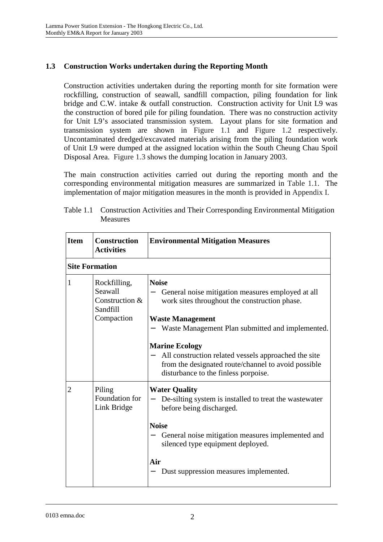## **1.3 Construction Works undertaken during the Reporting Month**

Construction activities undertaken during the reporting month for site formation were rockfilling, construction of seawall, sandfill compaction, piling foundation for link bridge and C.W. intake & outfall construction. Construction activity for Unit L9 was the construction of bored pile for piling foundation. There was no construction activity for Unit L9's associated transmission system. Layout plans for site formation and transmission system are shown in Figure 1.1 and Figure 1.2 respectively. Uncontaminated dredged/excavated materials arising from the piling foundation work of Unit L9 were dumped at the assigned location within the South Cheung Chau Spoil Disposal Area. Figure 1.3 shows the dumping location in January 2003.

The main construction activities carried out during the reporting month and the corresponding environmental mitigation measures are summarized in Table 1.1. The implementation of major mitigation measures in the month is provided in Appendix I.

| <b>Item</b>           | <b>Construction</b><br><b>Activities</b>                            | <b>Environmental Mitigation Measures</b>                                                                                                                                                                                                                                                                                                                                          |
|-----------------------|---------------------------------------------------------------------|-----------------------------------------------------------------------------------------------------------------------------------------------------------------------------------------------------------------------------------------------------------------------------------------------------------------------------------------------------------------------------------|
| <b>Site Formation</b> |                                                                     |                                                                                                                                                                                                                                                                                                                                                                                   |
| $\mathbf{1}$          | Rockfilling,<br>Seawall<br>Construction &<br>Sandfill<br>Compaction | <b>Noise</b><br>General noise mitigation measures employed at all<br>work sites throughout the construction phase.<br><b>Waste Management</b><br>Waste Management Plan submitted and implemented.<br><b>Marine Ecology</b><br>All construction related vessels approached the site<br>from the designated route/channel to avoid possible<br>disturbance to the finless porpoise. |
| 2                     | Piling<br>Foundation for<br>Link Bridge                             | <b>Water Quality</b><br>De-silting system is installed to treat the wastewater<br>before being discharged.<br><b>Noise</b><br>General noise mitigation measures implemented and<br>silenced type equipment deployed.<br>Air<br>Dust suppression measures implemented.                                                                                                             |

| Table 1.1 Construction Activities and Their Corresponding Environmental Mitigation |
|------------------------------------------------------------------------------------|
| Measures                                                                           |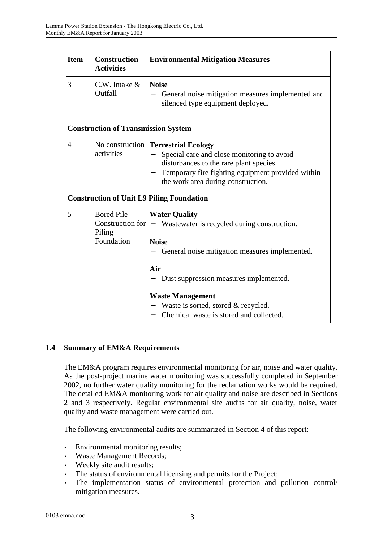| <b>Item</b> | <b>Construction</b><br><b>Activities</b>   | <b>Environmental Mitigation Measures</b>                                                                                                                                                                                                |
|-------------|--------------------------------------------|-----------------------------------------------------------------------------------------------------------------------------------------------------------------------------------------------------------------------------------------|
| 3           | $C.W.$ Intake $&$<br>Outfall               | <b>Noise</b><br>General noise mitigation measures implemented and<br>silenced type equipment deployed.                                                                                                                                  |
|             | <b>Construction of Transmission System</b> |                                                                                                                                                                                                                                         |
| 4           | activities                                 | No construction Terrestrial Ecology<br>Special care and close monitoring to avoid<br>disturbances to the rare plant species.<br>Temporary fire fighting equipment provided within<br>the work area during construction.                 |
|             |                                            | <b>Construction of Unit L9 Piling Foundation</b>                                                                                                                                                                                        |
| 5           | <b>Bored Pile</b><br>Piling<br>Foundation  | <b>Water Quality</b><br>Construction for $ -$ Wastewater is recycled during construction.<br><b>Noise</b><br>General noise mitigation measures implemented.<br>Air<br>Dust suppression measures implemented.<br><b>Waste Management</b> |
|             |                                            | Waste is sorted, stored & recycled.<br>Chemical waste is stored and collected.                                                                                                                                                          |

## **1.4 Summary of EM&A Requirements**

The EM&A program requires environmental monitoring for air, noise and water quality. As the post-project marine water monitoring was successfully completed in September 2002, no further water quality monitoring for the reclamation works would be required. The detailed EM&A monitoring work for air quality and noise are described in Sections 2 and 3 respectively. Regular environmental site audits for air quality, noise, water quality and waste management were carried out.

The following environmental audits are summarized in Section 4 of this report:

- Environmental monitoring results;
- Waste Management Records;
- Weekly site audit results;
- The status of environmental licensing and permits for the Project;
- The implementation status of environmental protection and pollution control/ mitigation measures.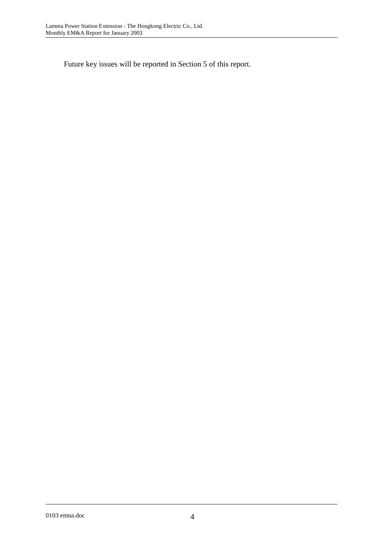Future key issues will be reported in Section 5 of this report.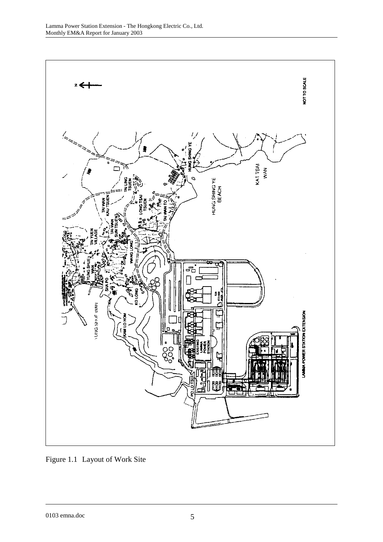

Figure 1.1 Layout of Work Site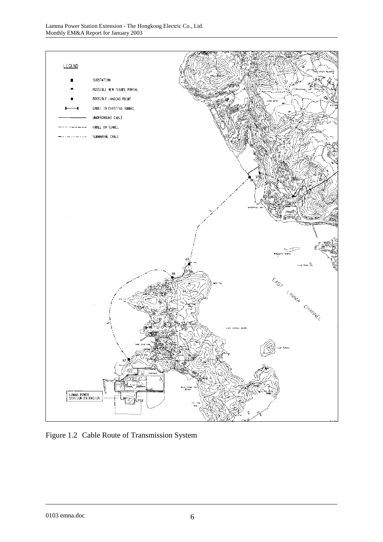

Figure 1.2 Cable Route of Transmission System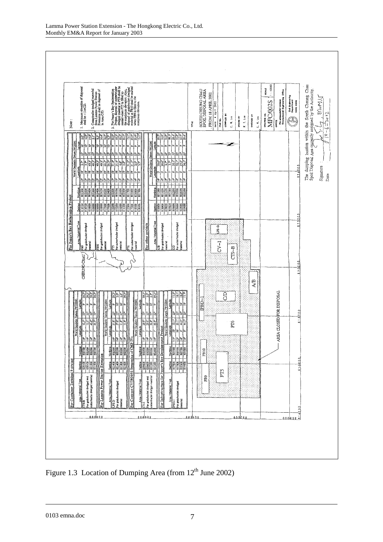

Figure 1.3 Location of Dumping Area (from  $12<sup>th</sup>$  June 2002)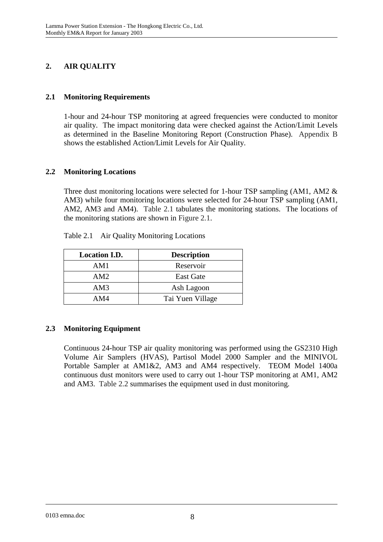## **2. AIR QUALITY**

## **2.1 Monitoring Requirements**

1-hour and 24-hour TSP monitoring at agreed frequencies were conducted to monitor air quality. The impact monitoring data were checked against the Action/Limit Levels as determined in the Baseline Monitoring Report (Construction Phase). Appendix B shows the established Action/Limit Levels for Air Quality.

## **2.2 Monitoring Locations**

Three dust monitoring locations were selected for 1-hour TSP sampling (AM1, AM2 & AM3) while four monitoring locations were selected for 24-hour TSP sampling (AM1, AM2, AM3 and AM4). Table 2.1 tabulates the monitoring stations. The locations of the monitoring stations are shown in Figure 2.1.

| <b>Location I.D.</b> | <b>Description</b> |
|----------------------|--------------------|
| AM1                  | Reservoir          |
| AM2                  | <b>East Gate</b>   |
| AM3                  | Ash Lagoon         |
| AM4                  | Tai Yuen Village   |

Table 2.1 Air Quality Monitoring Locations

## **2.3 Monitoring Equipment**

Continuous 24-hour TSP air quality monitoring was performed using the GS2310 High Volume Air Samplers (HVAS), Partisol Model 2000 Sampler and the MINIVOL Portable Sampler at AM1&2, AM3 and AM4 respectively. TEOM Model 1400a continuous dust monitors were used to carry out 1-hour TSP monitoring at AM1, AM2 and AM3. Table 2.2 summarises the equipment used in dust monitoring.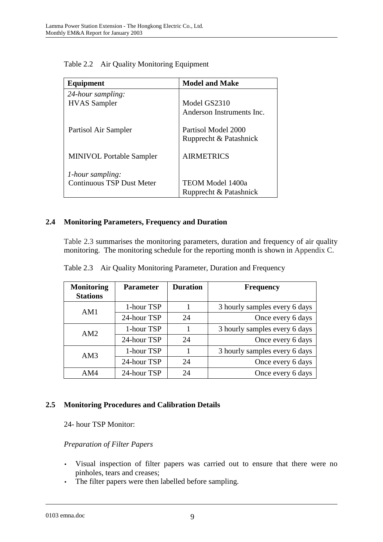| Equipment                       | <b>Model and Make</b>     |
|---------------------------------|---------------------------|
| 24-hour sampling:               |                           |
| <b>HVAS</b> Sampler             | Model GS2310              |
|                                 | Anderson Instruments Inc. |
| Partisol Air Sampler            | Partisol Model 2000       |
|                                 | Rupprecht & Patashnick    |
| <b>MINIVOL Portable Sampler</b> | <b>AIRMETRICS</b>         |
| 1-hour sampling:                |                           |
| Continuous TSP Dust Meter       | <b>TEOM Model 1400a</b>   |
|                                 | Rupprecht & Patashnick    |

Table 2.2 Air Quality Monitoring Equipment

## **2.4 Monitoring Parameters, Frequency and Duration**

Table 2.3 summarises the monitoring parameters, duration and frequency of air quality monitoring. The monitoring schedule for the reporting month is shown in Appendix C.

| <b>Monitoring</b><br><b>Stations</b> | <b>Parameter</b> | <b>Duration</b> | <b>Frequency</b>              |
|--------------------------------------|------------------|-----------------|-------------------------------|
| AM1                                  | 1-hour TSP       |                 | 3 hourly samples every 6 days |
|                                      | 24-hour TSP      | 24              | Once every 6 days             |
| AM2                                  | 1-hour TSP       |                 | 3 hourly samples every 6 days |
|                                      | 24-hour TSP      | 24              | Once every 6 days             |
| AM3                                  | 1-hour TSP       |                 | 3 hourly samples every 6 days |
|                                      | 24-hour TSP      | 24              | Once every 6 days             |
| AM4                                  | 24-hour TSP      | 24              | Once every 6 days             |

Table 2.3 Air Quality Monitoring Parameter, Duration and Frequency

#### **2.5 Monitoring Procedures and Calibration Details**

24- hour TSP Monitor:

#### *Preparation of Filter Papers*

- Visual inspection of filter papers was carried out to ensure that there were no pinholes, tears and creases;
- The filter papers were then labelled before sampling.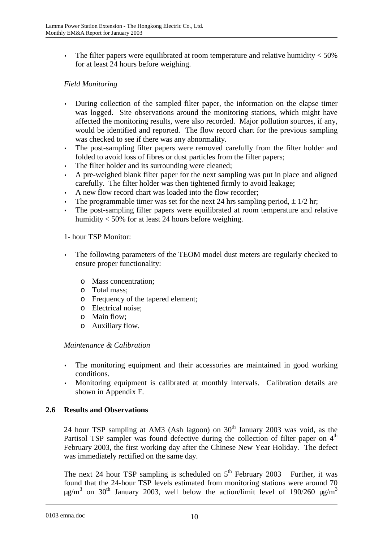The filter papers were equilibrated at room temperature and relative humidity  $<$  50% for at least 24 hours before weighing.

## *Field Monitoring*

- During collection of the sampled filter paper, the information on the elapse timer was logged. Site observations around the monitoring stations, which might have affected the monitoring results, were also recorded. Major pollution sources, if any, would be identified and reported. The flow record chart for the previous sampling was checked to see if there was any abnormality.
- The post-sampling filter papers were removed carefully from the filter holder and folded to avoid loss of fibres or dust particles from the filter papers;
- The filter holder and its surrounding were cleaned;
- A pre-weighed blank filter paper for the next sampling was put in place and aligned carefully. The filter holder was then tightened firmly to avoid leakage;
- A new flow record chart was loaded into the flow recorder;
- The programmable timer was set for the next 24 hrs sampling period,  $\pm 1/2$  hr;
- The post-sampling filter papers were equilibrated at room temperature and relative humidity < 50% for at least 24 hours before weighing.

#### 1- hour TSP Monitor:

- The following parameters of the TEOM model dust meters are regularly checked to ensure proper functionality:
	- o Mass concentration;
	- o Total mass;
	- o Frequency of the tapered element;
	- o Electrical noise;
	- o Main flow;
	- o Auxiliary flow.

#### *Maintenance & Calibration*

- The monitoring equipment and their accessories are maintained in good working conditions.
- Monitoring equipment is calibrated at monthly intervals. Calibration details are shown in Appendix F.

#### **2.6 Results and Observations**

24 hour TSP sampling at AM3 (Ash lagoon) on  $30<sup>th</sup>$  January 2003 was void, as the Partisol TSP sampler was found defective during the collection of filter paper on  $4<sup>th</sup>$ February 2003, the first working day after the Chinese New Year Holiday. The defect was immediately rectified on the same day.

The next 24 hour TSP sampling is scheduled on  $5<sup>th</sup>$  February 2003 Further, it was found that the 24-hour TSP levels estimated from monitoring stations were around 70  $\mu$ g/m<sup>3</sup> on 30<sup>th</sup> January 2003, well below the action/limit level of 190/260  $\mu$ g/m<sup>3</sup>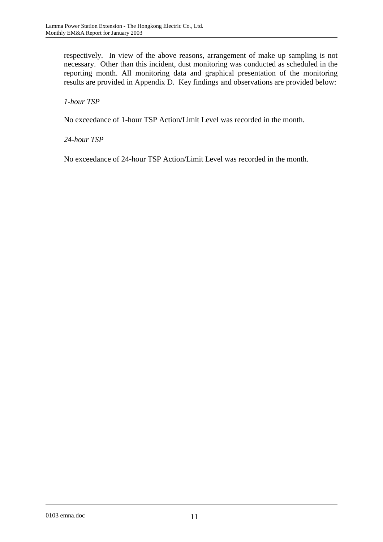respectively. In view of the above reasons, arrangement of make up sampling is not necessary. Other than this incident, dust monitoring was conducted as scheduled in the reporting month. All monitoring data and graphical presentation of the monitoring results are provided in Appendix D. Key findings and observations are provided below:

## *1-hour TSP*

No exceedance of 1-hour TSP Action/Limit Level was recorded in the month.

## *24-hour TSP*

No exceedance of 24-hour TSP Action/Limit Level was recorded in the month.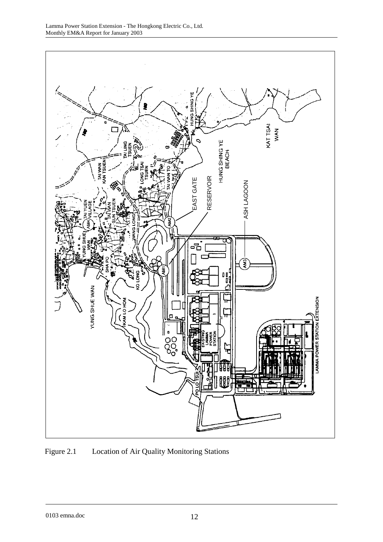

Figure 2.1 Location of Air Quality Monitoring Stations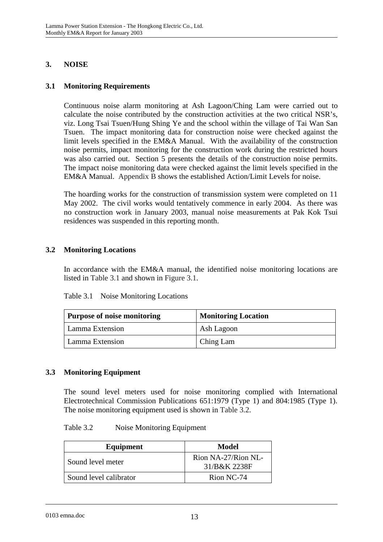## **3. NOISE**

#### **3.1 Monitoring Requirements**

Continuous noise alarm monitoring at Ash Lagoon/Ching Lam were carried out to calculate the noise contributed by the construction activities at the two critical NSR's, viz. Long Tsai Tsuen/Hung Shing Ye and the school within the village of Tai Wan San Tsuen. The impact monitoring data for construction noise were checked against the limit levels specified in the EM&A Manual. With the availability of the construction noise permits, impact monitoring for the construction work during the restricted hours was also carried out. Section 5 presents the details of the construction noise permits. The impact noise monitoring data were checked against the limit levels specified in the EM&A Manual. Appendix B shows the established Action/Limit Levels for noise.

The hoarding works for the construction of transmission system were completed on 11 May 2002. The civil works would tentatively commence in early 2004. As there was no construction work in January 2003, manual noise measurements at Pak Kok Tsui residences was suspended in this reporting month.

## **3.2 Monitoring Locations**

In accordance with the EM&A manual, the identified noise monitoring locations are listed in Table 3.1 and shown in Figure 3.1.

| Table 3.1 | Noise Monitoring Locations |
|-----------|----------------------------|
|-----------|----------------------------|

| <b>Purpose of noise monitoring</b> | <b>Monitoring Location</b> |
|------------------------------------|----------------------------|
| Lamma Extension                    | Ash Lagoon                 |
| Lamma Extension                    | Ching Lam                  |

#### **3.3 Monitoring Equipment**

The sound level meters used for noise monitoring complied with International Electrotechnical Commission Publications 651:1979 (Type 1) and 804:1985 (Type 1). The noise monitoring equipment used is shown in Table 3.2.

#### Table 3.2 Noise Monitoring Equipment

| Equipment              | Model                               |
|------------------------|-------------------------------------|
| Sound level meter      | Rion NA-27/Rion NL-<br>31/B&K 2238F |
| Sound level calibrator | Rion NC-74                          |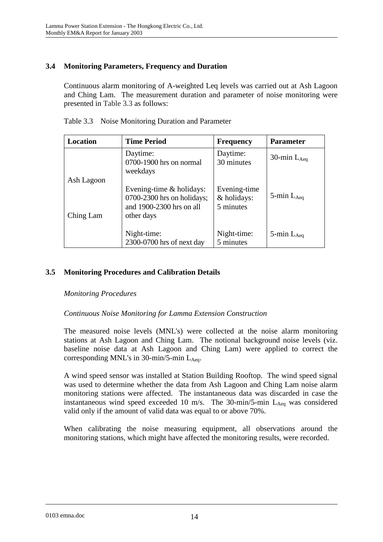## **3.4 Monitoring Parameters, Frequency and Duration**

Continuous alarm monitoring of A-weighted Leq levels was carried out at Ash Lagoon and Ching Lam. The measurement duration and parameter of noise monitoring were presented in Table 3.3 as follows:

| Location   | <b>Time Period</b>                                                                               | <b>Frequency</b>                         | <b>Parameter</b>   |
|------------|--------------------------------------------------------------------------------------------------|------------------------------------------|--------------------|
|            | Daytime:<br>0700-1900 hrs on normal<br>weekdays                                                  | Daytime:<br>30 minutes                   | 30-min $L_{Aeq}$   |
| Ash Lagoon |                                                                                                  |                                          |                    |
| Ching Lam  | Evening-time & holidays:<br>0700-2300 hrs on holidays;<br>and 1900-2300 hrs on all<br>other days | Evening-time<br>& holidays:<br>5 minutes | $5$ -min $L_{Aeq}$ |
|            | Night-time:<br>2300-0700 hrs of next day                                                         | Night-time:<br>5 minutes                 | 5-min $L_{Aeq}$    |

## **3.5 Monitoring Procedures and Calibration Details**

#### *Monitoring Procedures*

#### *Continuous Noise Monitoring for Lamma Extension Construction*

The measured noise levels (MNL's) were collected at the noise alarm monitoring stations at Ash Lagoon and Ching Lam. The notional background noise levels (viz. baseline noise data at Ash Lagoon and Ching Lam) were applied to correct the corresponding MNL's in 30-min/5-min  $L_{Aeq}$ .

A wind speed sensor was installed at Station Building Rooftop. The wind speed signal was used to determine whether the data from Ash Lagoon and Ching Lam noise alarm monitoring stations were affected. The instantaneous data was discarded in case the instantaneous wind speed exceeded 10 m/s. The 30-min/5-min  $L_{Aeq}$  was considered valid only if the amount of valid data was equal to or above 70%.

When calibrating the noise measuring equipment, all observations around the monitoring stations, which might have affected the monitoring results, were recorded.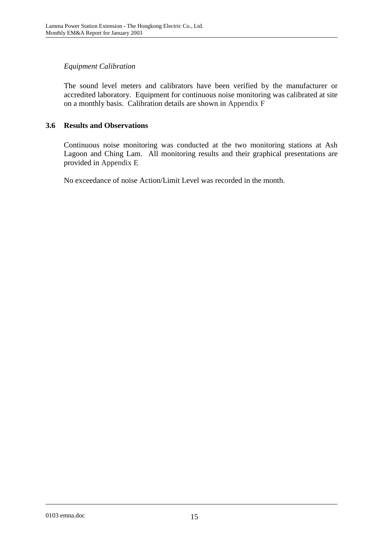## *Equipment Calibration*

The sound level meters and calibrators have been verified by the manufacturer or accredited laboratory. Equipment for continuous noise monitoring was calibrated at site on a monthly basis. Calibration details are shown in Appendix F

#### **3.6 Results and Observations**

Continuous noise monitoring was conducted at the two monitoring stations at Ash Lagoon and Ching Lam. All monitoring results and their graphical presentations are provided in Appendix E

No exceedance of noise Action/Limit Level was recorded in the month.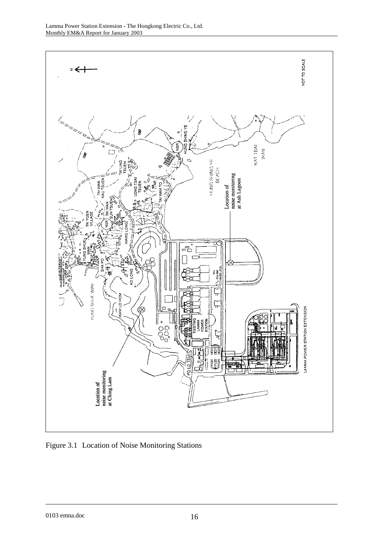

Figure 3.1 Location of Noise Monitoring Stations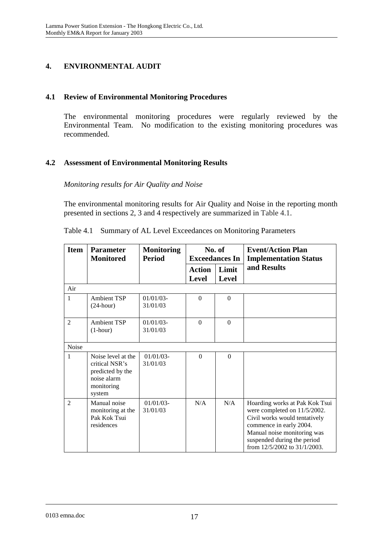## **4. ENVIRONMENTAL AUDIT**

## **4.1 Review of Environmental Monitoring Procedures**

The environmental monitoring procedures were regularly reviewed by the Environmental Team. No modification to the existing monitoring procedures was recommended.

## **4.2 Assessment of Environmental Monitoring Results**

*Monitoring results for Air Quality and Noise* 

The environmental monitoring results for Air Quality and Noise in the reporting month presented in sections 2, 3 and 4 respectively are summarized in Table 4.1.

| <b>Item</b>    | No. of<br><b>Parameter</b><br><b>Monitoring</b><br><b>Monitored</b><br><b>Period</b><br><b>Exceedances In</b> |                          |                               | <b>Event/Action Plan</b><br><b>Implementation Status</b> |                                                                                                                                                                                                                          |
|----------------|---------------------------------------------------------------------------------------------------------------|--------------------------|-------------------------------|----------------------------------------------------------|--------------------------------------------------------------------------------------------------------------------------------------------------------------------------------------------------------------------------|
|                |                                                                                                               |                          | <b>Action</b><br><b>Level</b> | Limit<br><b>Level</b>                                    | and Results                                                                                                                                                                                                              |
| Air            |                                                                                                               |                          |                               |                                                          |                                                                                                                                                                                                                          |
| 1              | <b>Ambient TSP</b><br>$(24$ -hour)                                                                            | $01/01/03$ -<br>31/01/03 | $\Omega$                      | $\Omega$                                                 |                                                                                                                                                                                                                          |
| $\overline{c}$ | <b>Ambient TSP</b><br>$(1-hour)$                                                                              | $01/01/03$ -<br>31/01/03 | $\Omega$                      | $\Omega$                                                 |                                                                                                                                                                                                                          |
| Noise          |                                                                                                               |                          |                               |                                                          |                                                                                                                                                                                                                          |
| 1              | Noise level at the<br>critical NSR's<br>predicted by the<br>noise alarm<br>monitoring<br>system               | $01/01/03$ -<br>31/01/03 | $\Omega$                      | $\Omega$                                                 |                                                                                                                                                                                                                          |
| $\overline{2}$ | Manual noise<br>monitoring at the<br>Pak Kok Tsui<br>residences                                               | $01/01/03$ -<br>31/01/03 | N/A                           | N/A                                                      | Hoarding works at Pak Kok Tsui<br>were completed on 11/5/2002.<br>Civil works would tentatively<br>commence in early 2004.<br>Manual noise monitoring was<br>suspended during the period<br>from 12/5/2002 to 31/1/2003. |

Table 4.1 Summary of AL Level Exceedances on Monitoring Parameters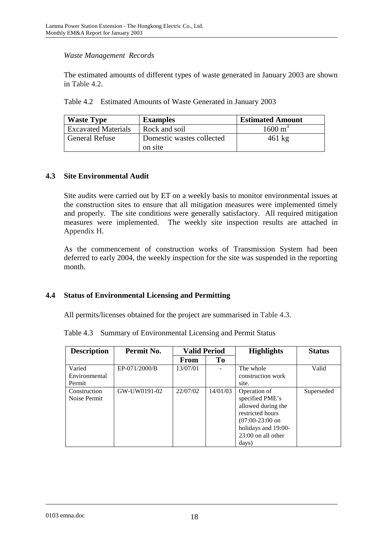#### *Waste Management Records*

The estimated amounts of different types of waste generated in January 2003 are shown in Table  $4.2<sub>1</sub>$ 

Table 4.2 Estimated Amounts of Waste Generated in January 2003

| <b>Waste Type</b>          | <b>Examples</b>                      | <b>Estimated Amount</b> |
|----------------------------|--------------------------------------|-------------------------|
| <b>Excavated Materials</b> | Rock and soil                        | $1600 \text{ m}^3$      |
| <b>General Refuse</b>      | Domestic wastes collected<br>on site | $461 \text{ kg}$        |

#### **4.3 Site Environmental Audit**

Site audits were carried out by ET on a weekly basis to monitor environmental issues at the construction sites to ensure that all mitigation measures were implemented timely and properly. The site conditions were generally satisfactory. All required mitigation measures were implemented. The weekly site inspection results are attached in Appendix H.

As the commencement of construction works of Transmission System had been deferred to early 2004, the weekly inspection for the site was suspended in the reporting month.

#### **4.4 Status of Environmental Licensing and Permitting**

All permits/licenses obtained for the project are summarised in Table 4.3.

Table 4.3 Summary of Environmental Licensing and Permit Status

| <b>Description</b> | Permit No.    | <b>Valid Period</b> |          | <b>Highlights</b>    | <b>Status</b> |
|--------------------|---------------|---------------------|----------|----------------------|---------------|
|                    |               | <b>From</b>         | To       |                      |               |
| Varied             | EP-071/2000/B | 13/07/01            |          | The whole            | Valid         |
| Environmental      |               |                     |          | construction work    |               |
| Permit             |               |                     |          | site.                |               |
| Construction       | GW-UW0191-02  | 22/07/02            | 14/01/03 | Operation of         | Superseded    |
| Noise Permit       |               |                     |          | specified PME's      |               |
|                    |               |                     |          | allowed during the   |               |
|                    |               |                     |          | restricted hours     |               |
|                    |               |                     |          | $(07:00-23:00)$ on   |               |
|                    |               |                     |          | holidays and 19:00-  |               |
|                    |               |                     |          | $23:00$ on all other |               |
|                    |               |                     |          | days)                |               |

0103 emna.doc 18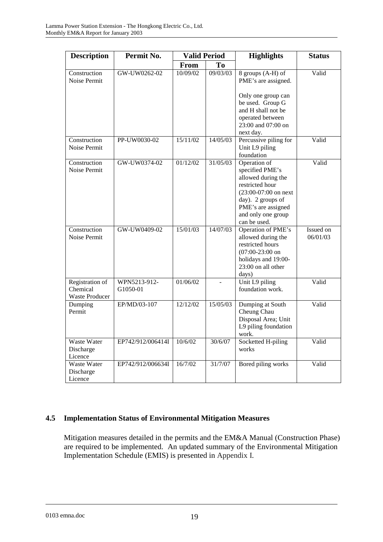| <b>Description</b>                                   | Permit No.               | <b>Valid Period</b> |          | <b>Highlights</b>                                                                                                                                                                    | <b>Status</b>         |
|------------------------------------------------------|--------------------------|---------------------|----------|--------------------------------------------------------------------------------------------------------------------------------------------------------------------------------------|-----------------------|
|                                                      |                          | <b>From</b>         | To       |                                                                                                                                                                                      |                       |
| Construction<br>Noise Permit                         | GW-UW0262-02             | 10/09/02            | 09/03/03 | 8 groups (A-H) of<br>PME's are assigned.<br>Only one group can<br>be used. Group G<br>and H shall not be<br>operated between<br>23:00 and 07:00 on<br>next day.                      | Valid                 |
| Construction<br>Noise Permit                         | PP-UW0030-02             | 15/11/02            | 14/05/03 | Percussive piling for<br>Unit L9 piling<br>foundation                                                                                                                                | Valid                 |
| Construction<br>Noise Permit                         | GW-UW0374-02             | 01/12/02            | 31/05/03 | Operation of<br>specified PME's<br>allowed during the<br>restricted hour<br>$(23:00-07:00)$ on next<br>day). 2 groups of<br>PME's are assigned<br>and only one group<br>can be used. | Valid                 |
| Construction<br>Noise Permit                         | GW-UW0409-02             | 15/01/03            | 14/07/03 | Operation of PME's<br>allowed during the<br>restricted hours<br>$(07:00-23:00)$ on<br>holidays and 19:00-<br>23:00 on all other<br>days)                                             | Issued on<br>06/01/03 |
| Registration of<br>Chemical<br><b>Waste Producer</b> | WPN5213-912-<br>G1050-01 | 01/06/02            |          | Unit L9 piling<br>foundation work.                                                                                                                                                   | Valid                 |
| Dumping<br>Permit                                    | EP/MD/03-107             | 12/12/02            | 15/05/03 | Dumping at South<br>Cheung Chau<br>Disposal Area; Unit<br>L9 piling foundation<br>work.                                                                                              | Valid                 |
| <b>Waste Water</b><br>Discharge<br>Licence           | EP742/912/006414I        | 10/6/02             | 30/6/07  | Socketted H-piling<br>works                                                                                                                                                          | Valid                 |
| <b>Waste Water</b><br>Discharge<br>Licence           | EP742/912/006634I        | 16/7/02             | 31/7/07  | Bored piling works                                                                                                                                                                   | Valid                 |

## **4.5 Implementation Status of Environmental Mitigation Measures**

Mitigation measures detailed in the permits and the EM&A Manual (Construction Phase) are required to be implemented. An updated summary of the Environmental Mitigation Implementation Schedule (EMIS) is presented in Appendix I.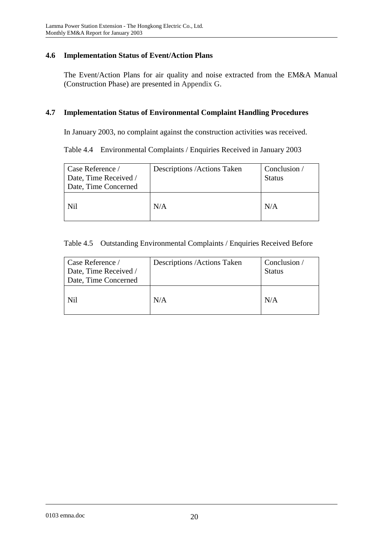#### **4.6 Implementation Status of Event/Action Plans**

The Event/Action Plans for air quality and noise extracted from the EM&A Manual (Construction Phase) are presented in Appendix G.

#### **4.7 Implementation Status of Environmental Complaint Handling Procedures**

In January 2003, no complaint against the construction activities was received.

Table 4.4 Environmental Complaints / Enquiries Received in January 2003

| Case Reference /<br>Date, Time Received /<br>Date, Time Concerned | Descriptions / Actions Taken | Conclusion /<br><b>Status</b> |
|-------------------------------------------------------------------|------------------------------|-------------------------------|
| Nil                                                               | N/A                          | N/A                           |

#### Table 4.5 Outstanding Environmental Complaints / Enquiries Received Before

| Case Reference /<br>Date, Time Received /<br>Date, Time Concerned | Descriptions / Actions Taken | Conclusion /<br><b>Status</b> |
|-------------------------------------------------------------------|------------------------------|-------------------------------|
| Nil                                                               | N/A                          | N/A                           |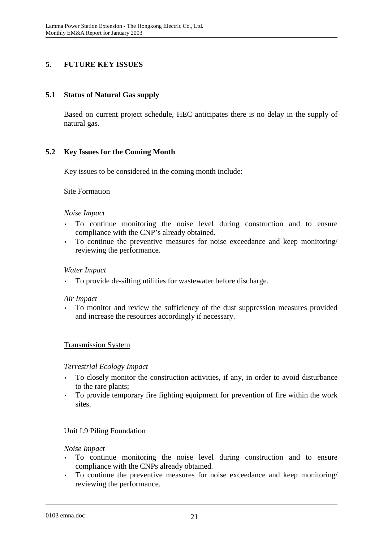## **5. FUTURE KEY ISSUES**

### **5.1 Status of Natural Gas supply**

Based on current project schedule, HEC anticipates there is no delay in the supply of natural gas.

## **5.2 Key Issues for the Coming Month**

Key issues to be considered in the coming month include:

#### Site Formation

#### *Noise Impact*

- To continue monitoring the noise level during construction and to ensure compliance with the CNP's already obtained.
- To continue the preventive measures for noise exceedance and keep monitoring/ reviewing the performance.

#### *Water Impact*

• To provide de-silting utilities for wastewater before discharge.

#### *Air Impact*

• To monitor and review the sufficiency of the dust suppression measures provided and increase the resources accordingly if necessary.

#### Transmission System

#### *Terrestrial Ecology Impact*

- To closely monitor the construction activities, if any, in order to avoid disturbance to the rare plants;
- To provide temporary fire fighting equipment for prevention of fire within the work sites.

#### Unit L9 Piling Foundation

#### *Noise Impact*

- To continue monitoring the noise level during construction and to ensure compliance with the CNPs already obtained.
- To continue the preventive measures for noise exceedance and keep monitoring/ reviewing the performance.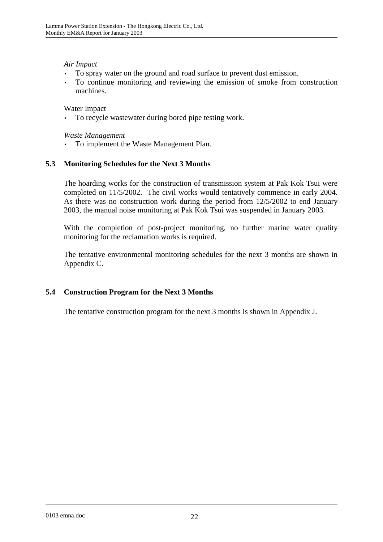#### *Air Impact*

- To spray water on the ground and road surface to prevent dust emission.
- To continue monitoring and reviewing the emission of smoke from construction machines.

Water Impact

To recycle wastewater during bored pipe testing work.

*Waste Management* 

• To implement the Waste Management Plan.

#### **5.3 Monitoring Schedules for the Next 3 Months**

The hoarding works for the construction of transmission system at Pak Kok Tsui were completed on 11/5/2002. The civil works would tentatively commence in early 2004. As there was no construction work during the period from 12/5/2002 to end January 2003, the manual noise monitoring at Pak Kok Tsui was suspended in January 2003.

With the completion of post-project monitoring, no further marine water quality monitoring for the reclamation works is required.

The tentative environmental monitoring schedules for the next 3 months are shown in Appendix C.

#### **5.4 Construction Program for the Next 3 Months**

The tentative construction program for the next 3 months is shown in Appendix J.